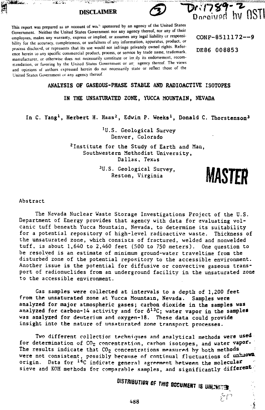**NO DESCRIPTION AND RE** 

 $\sim 3.1$  .

**EGE** 





This report was prepared as an account of would sponsored by an agency of the United States Government. Neither the United States Government nor any agency thereof, nor any of their employees, makes any warranty, express or implied, or assumes any legal liability or responsi-<br> **CONF-8511172--9** bility for the accuracy, completeness, or usefulness of any information, apparatus, product, or process disclosed, or represents that its use would not infringe privately owned rights. Refer-<br>
DE86 008853 ence herein to any specific commercial product, process, or service by trade name, trademark, manufacturer, or otherwise does not necessarily constitute or tin )ly its endorsement, recommendation, or favoring by the United States Government or an; agency thereof. The views and opinions of authors expressed herein do not necessarily state or reflect those of the United States Government or any agency thereof

# **ANALYSIS OF GASEOUS-PHASE STABLE AND RADIOACTIVE ISOTOPES**

**IN THE UNSATURATED ZONE, YUCCA MOUNTAIN, NEVADA**

In C. Yang<sup>1</sup>, Herbert H. Haas<sup>2</sup>, Edwin P. Weeks<sup>1</sup>, Donald C. Thorstenson<sup>3</sup>

<sup>1</sup>U.S. Geological Survey Denver, Colorado

<sup>2</sup>Institute for the Study of Earth and Man, Southwestern Methodist University, Dallas, Texas

> <sup>3</sup>U.S. Geological Survey, Reston, Virginia



 $\frac{1}{2}$ 

Abstract

The Nevada Nuclear Waste Storage Investigations Project of the U.S. Department of Energy provides that agency with data for evaluating volcanic tuff beneath Yucca Mountain, Nevada, to determine its suitability for a potential repository of high-level radioactive waste. Thickness of the unsaturated zone, which consists of fractured, welded and nonwelded tuff, is about 1,640 to 2,460 feet (500 to 750 meters). One question to be resolved is an estimate of minimum ground-water traveltime from the disturbed zone of the potential repository to the accessible environment. Another issue is the potential for diffusive or convective gaseous transport of radionuclides from an underground facility in the unsaturated zone to the accessible environment.

Gas samples were collected at intervals to a depth of 1,200 feet from the unsaturated zone at Yucca Mountain, Nevada. Samples were analyzed for major atmospheric gases; carbon dioxide in the samples was analyzed for carbon-14 activity and for  $\delta^{13}C$ ; water vapor in the samples was analyzed for deuterium and oxygen-18. These data could provide insight into the nature of unsaturated zone transport processes.

Two different collection techniques and analytical methods were used. for determination of CO<sub>2</sub> concentration, carbon isotopes, and water vapor. <sup>1</sup><br>The results indicate that CO<sub>2</sub> concentrations massured by hath-methods The results indicate that  $CO<sub>2</sub>$  concentrations measured by both methods were not consistent, possibly because of continual fluctuations of unknown. origin. Data for <sup>14</sup>C indicate general agreement between the molecula¤ sieve and KOH methods for comparable samples, and significantly different

**OISTRIBUTION OF THIS DECUMENT IS UNLINETED**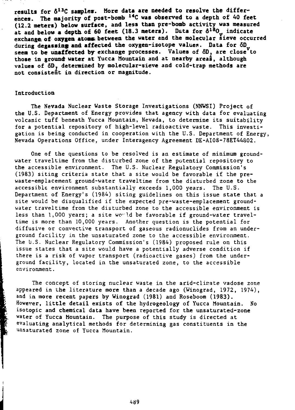**results for 6<sup>13</sup>C sampler. More data are needed to resolve the differ" ences. The majority of post-bomb <sup>14</sup>C was observed to a depth of 40 feet (12.2 meters) below surface, and less than pre-boab activity was measured at and below a depth, of 60 feet (18.3 meters). Data for dl s 0y indicate exchange of oxygen atons between the water and the molecular sieve occurred during degassing and affected the oxygen-isotope values. Data for 6D** seem to be unaffected by exchange processes. Values of  $\delta D$ , are close<sup>V</sup>to **those in ground water at Yucca Mountain and at nearby areas, although values of 6D. determined by molecular-sieve and cold-trap methods are not consistent in direction or magnitude.**

## **Introduction**

The Nevada Nuclear Waste Storage Investigations (NNWSI) Project of the U.S. Department of Energy provides that agency with data for evaluating volcanic tuff beneath Yucca Mountain, Nevada, to determine its suitability for a potential repository of high-level radioactive waste. This investigation is being conducted in cooperation with the U.S. Department of Energy, Nevada Operations Office, under Interagency Agreement DE-AI08-78ET44802.

One of the questions to be resolved is an estimate of minimum groundwater traveltime from the disturbed zone of the potential repository to the accessible environment. The U.S. Nuclear Regulatory Commission's (1983) siting criteria state that a site would be favorable if the prewaste-emplacement ground-water traveltime from the disturbed zone to the accessible environment substantially exceeds 1,000 years. The U.S. Department of Energy's (1984) siting guidelines on this issue state that a site would be disqualified if the expected pre-waste-emplacement groundwater traveltime from the disturbed zone to the accessible environment is less than 1,000 years; a site would be favorable if ground-water traveltime is more than 10,000 years. Another question is the potential for diffusive or convective transport of gaseous radionuclides from an underground facility in the unsaturated zone to the accessible environment. The U.S. Nuclear Regulatory Commission's (1984) proposed rule on this issue states that a site would have a potentially adverse condition if there is a risk of vapor transport (radioactive gases) from the underground facility, located in the unsaturated zone, to the accessible environment.

The concept of storing nuclear waste in the arid-climate vadose zone appeared in the literature more than a decade ago (Winograd, 1972, 1974), and in more recent papers by Winograd (1981) and Roseboom (1983). However, little detail exists of the hydrogeology of Yucca Mountain. No isotopic and chemical data have been reported for the unsaturated-zone water of Yucca Mountain. The purpose of this study is directed at evaluating analytical methods for determining gas constituents in the unsaturated zone of Yucca Mountain.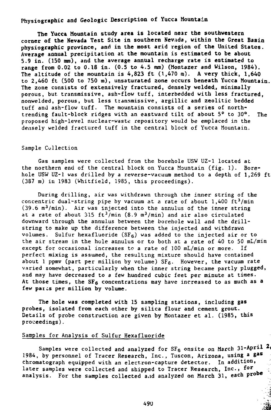# **Physiographic and Geologic Description of Yucca Mountain**

**The Yuccs Mountain study area is located near the southwestern corner of the Nevada Test Site in southern Nevada, within the Great Basin physiographic province, and in the most arid region of the United States. Average annual precipitation at the mountain is estimated to be about S.9 in. (150 mm), and the average annual recharge rate is estimated to range from 0.02 to 0.18 in. (0.5 to 4.5 mm) (Montazer and Wilson, 1984). The altitude of the mountain is 4,823 ft (1,470 m). A very thick, 1,640 to 2,460 ft (500 to 750 m), unsaturated zone occurs beneath Yucca Mountain. The zone consists of extensively fractured, densely welded., minimally porous, but transmissive, ash-flow tuff, interbedded with less fractured, nonwelded, porous, but less transmissive, argillic and zeolitic bedded tuff and ash-flow tuff. The mountain consists of a series of northtrending fault-block ridges with an eastward tilt of about 5° to 30°. The proposed high-level nuclear-waste repository would be emplaced in the densely welded fractured tuff in the central block of Yucca Mountain.**

### **Sample Collection**

**Gas samples were collected from the borehole USW UZ-1 located at the northern end of the central block on Yucca Mountain (fig. 1). Borehole USW UZ-1 was drilled by a reverse-vacuum method to a depth of 1,269 ft (387 m) in 1983 (Whitfield, 1985, this proceedings).**

**During drilling, air was withdrawn through the inner string of the concentric dual-string pipe by vacuum at a rate of about 1,400 ft<sup>3</sup>/min (39.6 m<sup>3</sup>/min). Air was injected into the annulus of the inner string at a rate of about 315 ft<sup>3</sup>/min (8.9 m<sup>3</sup>/min) and air also circulated downward through the annulus between the borehole wall and the drillstring to make up the difference between the injected and withdrawn volumes. Sulfur hexafluoride (SF6) was added to the injected air or to the air stream in the hole annulus or to both at a rate of 40 to 50 mL/min except for occasional increases to a rate of 100 mL/min or more. If perfect mixing is assumed, the resulting mixture should have contained** about 1 ppmv (part per million by volume) SF<sub>6</sub>. However, the vacuum rate **varied somewhat, particularly when the inner string became partly plugged, and may have decreased to a few hundred cubic feet per minute at times. At those times, the SF6 concentrations may have increased to as much as a** few paris per million by volume.

**The hole was completed with 15 sampling stations, including gas probes, isolated from each other by silica flour and cement grout. Details of probe construction are given by Montazer et al. (1985, this proceedings).**

# **Samples for Analysis of Sulfur Hexafluoride**

**Samples were collected and analyzed for SF6 onsite on March 31-April \*i 1984, by personnel of Tracer Research, Inc., Tuscon, Arizona, using a gas chromatograph equipped with an electron-capture detector. In addition,** later samples were collected and shipped to Tracer Research, Inc., for **analysis. For the samples collected aud analyzed on March 31, each probe**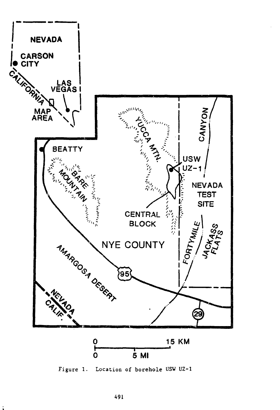

Figure 1. Location of borehole USW UZ-1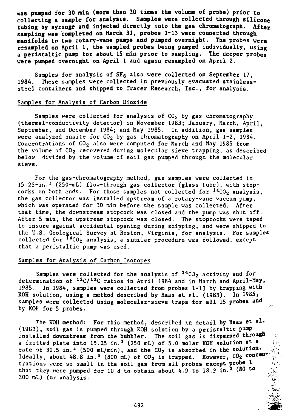**was pumped for 30 miu (more than 30 times the volume of probe) prior to collecting a sample for analysis. Samples were collected through silicone tubing by syringe and injected directly into the gas chromatograph. After sampling was completed on March 31, probes** 1-13 **were connected through manifolds to two rotary-vane pumps and pumped overnight. The** probes **were resampled on April 1, the sampled probes being pumped** individually, using a **peristaltic pump** for **about 15 min prior to sampling. The deeper probes were pumped overnight on April 1 and again resampled** on **April** 2.

Samples for **analysis** of SF6 also **were collected** on September 17, 1984. These samples were collected in previously evacuated stainlesssteel containers and shipped to Tracer Research, Inc., for analysis.

# Samples for Analysis of Carbon Dioxide

Samples were collected for analysis of  $CO<sub>2</sub>$  by gas chromatography (thermal-conductivity detector) in November 1983; January, March, April, September, and December 1984; and May 1985. In addition, gas samples were analyzed onsite for  $CO<sub>2</sub>$  by gas chromatography on April 1-2, 1984. Concentrations of CO<sub>2</sub> also were computed for March and May 1985 from the volume of  $CO<sub>2</sub>$  recovered during molecular sieve trapping, as described below, divided by the volume of soil gas pumped through the molecular sieve.

For the gas-chromatography method, gas samples were collected in 15.25-in.<sup>3</sup> (250-mL) flow-through gas collector (glass tube), with stopcocks on both ends. For those samples not collected for  $^{14}$ CO<sub>2</sub> analysis, the gas collector was installed upstream of a rotary-vane vacuum pump, which was operated for 30 min before the sample was collected. After that time, the downstream stopcock was closed and the pump was shut off. After 5 min, the upstream stopcock was closed. The stopcocks were taped to insure against accidental opening during shipping, and were shipped to the U.S. Geological Survey at Reston, Virginia, for analysis. For samples collected for <sup>14</sup>CO<sub>2</sub> analysis, a similar procedure was followed, except that a peristaltic pump was used.

# Samples for Analysis of Carbon Isotopes

Samples were collected for the analysis of  $^{14}$ CO<sub>2</sub> activity and for determination of <sup>13</sup>C/<sup>12</sup>C ratios in April 1984 and in March and April-May, 1985. In 1984, samples were collected from probes 1-13 by trapping with<br>KOH solution, using a method described by Haas et al. (1983). In 1985, KOH solution, using a method described by Haas et al.  $(1983)$ . samples were collected using molecular-sieve traps for all 15 **probes and** by KOH for 5 probes.

The KOH method: For this method, described in detail by Haas et al. (1983), soil gas is pumped through KOH solution by a peristaltic pump installed downstream from the bubbler. The soil gas is dispersed **through** a fritted plate into 15.25 in.<sup>3</sup> (250 mL) of 5.0 molar KOH solution at  $\triangleq$ rate of 30.5 in.<sup>3</sup> (500 mL/min), and the  $CO<sub>2</sub>$  is absorbed in the solution. Ideally, about 48.8 in.<sup>3</sup> (800 mL) of CO<sub>2</sub> is trapped. However, CO<sub>2</sub> concentrations were so small in the soil gas from all probes except probe 1 that they were pumped for 10 d to obtain about 4.9 to 18.3 in.<sup>3</sup> (80 to  $\sim$ 300 ml) for analysis. <sup>U</sup>&.

**?•••**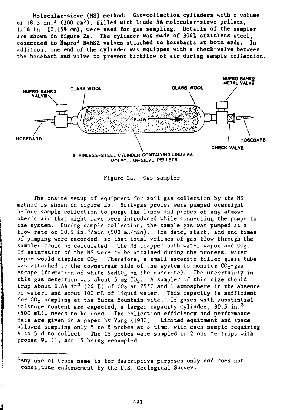**Molecular-sieve (MS) method: Gas-collection cylinders with a volume of 18.3 in.<sup>3</sup> (300 cm<sup>3</sup> ), filled with Linde 5A molecular-sieve pellets, 1/16 iu. (0.159 cm), were used for gas sampling. Details of the sampler are shown in figure 2a. The cylinder was made of 30AL stainless steel, connected to Nupro<sup>1</sup> B4HK2 valves attached to hosebarbs at both ends. In addition, one end of the cylinder was equipped with a check-valve between the hosebarb and valve to** prevent **backflow of air during sample** collection.



Figure 2a. Gas sampler

The onsite setup of equipment for soil-gas collection by the MS method is shown in figure 2b. Soil-gas probes were pumped overnight before sample collection to purge the lines and probes of any atmospheric air that might have been introduced while connecting the pumps to the system. During sample collection, the sample gas was pumped at a flow rate of 30.5 in.<sup>3</sup>/min (500 m<sup>T</sup>/min). The date, start, and end times of pumping were recorded, so that total volumes of gas flow through the sampler could be calculated. The MS trapped both water vapor and  $CO<sub>2</sub>$ . If saturation of the MS were to be attained during the process, water vapor would displace  $CO<sub>2</sub>$ . Therefore, a small ascarite-filled glass tube was attached to the downstream side of the system to monitor  $CO_2$ -gas escape (formation of white NaHCO<sub>3</sub> on the ascarite). The uncertainty in this gas detection was about 5 mg  $CO<sub>2</sub>$ . A sampler of this size should trap about 0.84 ft<sup>3</sup> (24 L) of CO<sub>2</sub> at 25°C and 1 atmosphere in the absence of water, and about 100 mL of liquid water. This capacity is sufficient for C02 sampling at the Yucca Mountain site. If gases with substantial moisture content are expected, a larger capacity cylinder,  $30.5$  in.<sup>3</sup> (500 mL) , needs to be used. The collection efficiency and performance data are given in a paper by Yang (1983). Limited equipment and space allowed sampling only 5 to 8 probes at a time, with each sample requiring 4 to 5 d to collect. The 15 probes were sampled in 2 onsite trips **with** probes 9, 11, and 15 being resampled.

<sup>&</sup>lt;sup>1</sup>Any use of trade name is for descriptive purposes only and does not constitute endorsement by the U.S. Geological Survey.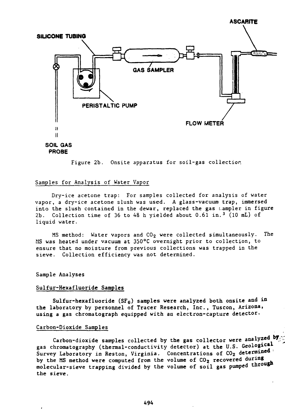

**SOIL GAS PROBE**

Figure 2b. Onsite apparatus for soil-gas collection.

# Samples for Analysis of Water Vapor

Dry-ice acetone trap: For samples collected for analysis of water vapor, a dry-ice acetone slush was used. A glass-vacuum trap, immersed into the slush contained in the dewar, replaced the gas ampler in figure 2b. Collection time of 36 to 48 h yielded about 0.61 in.<sup>3</sup> (10 mL) of liquid water.

MS method: Water vapors and CO<sub>2</sub> were collected simultaneously. The MS was heated under vacuum at 350°C overnight prior to collection, to ensure that no moisture from previous collections **was** trapped in the sieve. Collection efficiency was not determined.

**Sample Analyses**

## **Sulfur-Hexafluoride Samples**

**Sulfur-hexafluoride (SF6) samples were analyzed both onsite and in the laboratory by personnel of Tracer Research, Inc., Tuscon, Arizona, using a gas chromatograph equipped with an electron-capture detector.**

# **Carbon-Dioxide Samples**

Carbon-dioxide samples collected by the gas collector were analyzed by gas chromatography (thermal-conductivity detector) at the U.S. Geological Survey Laboratory in Reston, Virginia. Concentrations of CO<sub>2</sub> determined **by the MS method were computed from the volume of C02 recovered during** molecular-sieve trapping divided by the volume of soil gas pumped through **the sieve.**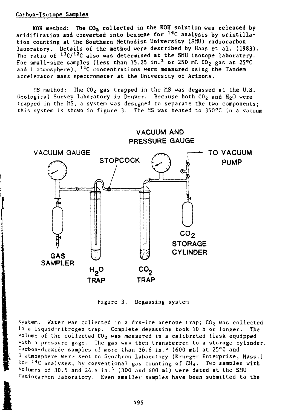# **Carbon-Isotope Samples**

**KOH method: The C02 collected in the KOH solution was released by acidification and converted into beneene for <sup>14</sup>C analysis by scintillation counting at the Southern Methodist University (SMU) radiocarbon laboratory. Details of the method were described by Haas et al. (1983). The ratio of l3C/l2C also was determined at the SMU isotope laboratory. For small-size samples (less than 15.25 in.<sup>3</sup> or 250 mL C02 gas at 25°C and 1 atmosphere), <sup>14</sup>C concentrations were measured using the Tandem** accelerator mass **spectrometer at the University of Arizona.**

MS **method:** The C02 **gas trapped** in **the** MS was **degassed at the U.S.** Geological Survey laboratory in Denver. Because **both C02 and H2O were** trapped in the MS, a system was designed to separate the two components; this system is shown in figure 3. The MS was heated to 350 $^{\circ}$ C in a vacuum



Figure 3. Degassing system

**1** system. Water was collected in a dry-ice acetone trap;  $CO<sub>2</sub>$  was collected in a liquid-nitrogen trap. Complete degassing took 10 h or longer. The volume of the collected  $CO<sub>2</sub>$  was measured in a calibrated flask equipped w ith a pressure gage. The gas was then transferred to a storage cylinder. Carbon-dioxide samples of more than  $36.6$  in.<sup>3</sup> (600 mL) at 25°C and  $<sup>1</sup>$  atmosphere were sent to Geochron Laboratory (Krueger Enterprise, Mass.)</sup> for <sup>14</sup>C analyses, by conventional gas counting of CH<sub>4</sub>. Two samples with volumes of 30.5 and  $24.4$  in.<sup>3</sup> (300 and 400 mL) were dated at the SMU radiocarbon laboratory. Even smaller samples have been submitted to the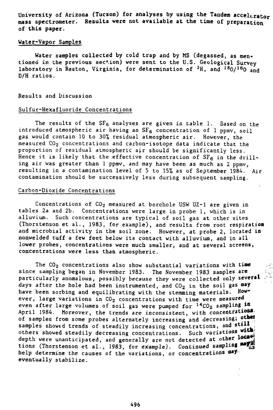**University of Arizona (Tucson) for analyses by using the Tandem accelerator mass spectrometer. Results were not available at the time of preparation of this paper.**

# **Water-Vapor** Samples

**Water** samples collected by cold trap and by MS (degassed, as mentioned in the previous section) were sent to the U.S. Geological Survey laboratory in Reston, Virginia, for determination of  $^3$ H, and  $^{18}$ O/ $^{16}$ O and D/H ratios.

# Results and Discussion

## Sulfur-Hexafluoride Concentrations

The results of the  $SF_6$  analyses are given in table 1. Based on the introduced atmospheric air having an  $SF_6$  concentration of 1 ppmv, soil gas would contain 10 to 30% residual atmospheric air. However, the measured  $CO<sub>2</sub>$  concentrations and carbon-isotope data indicate that the proportion of residual atmospheric air should be significantly less. Hence it is likely that the effective concentration of  $SF_6$  in the drilling air was greater than 1 ppmv, and may have been as much as 2 ppmv, resulting in a contamination level of 5 to 15% as of September 1984. Air contamination should be successively less during subsequent sampling.

# Carbon-Dioxide Concentrations

Concentrations of  $CO<sub>2</sub>$  measured at borehole USW UZ-1 are given in tables 2a and 2b. Concentrations were large in probe 1, which is in Such concentrations are typical of soil gas at other sites (Thorstenson et al., 1983, for example), and results from root respiration and microbial activity in the soil zone. However, at probe 2, located in nonwelded tuff a few feet below its contact with alluvium, and in all lower probes, concentrations were much smaller, and at several screens, concentrations were less than atmospheric.

The C02 concentrations also show substantial variations with **tine** since sampling began in November 1983. The November 1983 samples **are** particularly anomalous, possibly because they were collected only several days after the hole had been instrumented, and CO<sub>2</sub> in the soil gas may<br>have been sorbing and equilibrating with the stemming materials. How have been sorbing and equilibrating with the stemming materials. ever, large variations in  $CO<sub>2</sub>$  concentrations with time were measured even after large volumes of soil gas were pumped for  $14 \text{CO}_2$  sampling in April 1984. Moreover, the trends are inconsistent, with concentrations of samples from some probes alternately increasing and decreasing; other samples showed trends of steadily increasing concentrations, and still others showed steadily decreasing concentrations. Such variations with depth were unanticipated, and generally are not detected at other located tions (Thorstenson et al., 1983, for example). Continued sampling help determine the causes of the variations, or concentrations may. eventually stabilize.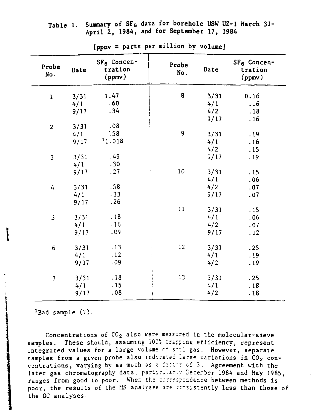# **Table 1. Summary of SFs data for borehole USW UZ-1 March 31- April 2, 1984, and for September 17, 1984**

| Probe<br>No.   | Date | SF <sub>6</sub> Concen-<br>tration<br>(ppmv) | Probe<br>No. | Date | SF <sub>6</sub> Concen-<br>tration<br>(ppmv) |
|----------------|------|----------------------------------------------|--------------|------|----------------------------------------------|
| $\mathbf 1$    | 3/31 | 1.47                                         | 8            | 3/31 | 0.16                                         |
|                | 4/1  | .60                                          |              | 4/1  | .16                                          |
|                | 9/17 | .34                                          |              | 4/2  | .18                                          |
|                |      |                                              |              | 9/17 | .16                                          |
| $\overline{2}$ | 3/31 | .08                                          |              |      |                                              |
|                | 4/1  | .58                                          | 9            | 3/31 | .19                                          |
|                | 9/17 | 11.018                                       |              | 4/1  | .16                                          |
|                |      |                                              |              | 4/2  | .15                                          |
| 3              | 3/31 | .49                                          |              | 9/17 | .19                                          |
|                | 4/1  | .30                                          |              |      |                                              |
|                | 9/17 | .27                                          | 10           | 3/31 | .15                                          |
|                |      |                                              |              | 4/1  | .06                                          |
| 4              | 3/31 | .58                                          |              | 4/2  | .07                                          |
|                | 4/1  | .33                                          |              | 9/17 | .07                                          |
|                | 9/17 | .26                                          |              |      |                                              |
|                |      |                                              | 11           | 3/31 | .15                                          |
| ڌ              | 3/31 | .18                                          |              | 4/1  | .06                                          |
|                | 4/1  | .16                                          |              | 4/2  | .07                                          |
|                | 9/17 | .09                                          |              | 9/17 | .12                                          |
|                |      |                                              |              |      |                                              |
| 6              | 3/31 | .13                                          | $\ddot{.}2$  | 3/31 | .25                                          |
|                | 4/1  | .12                                          |              | 4/1  | .19                                          |
|                | 9/17 | .09                                          |              | 4/2  | .19                                          |
|                |      |                                              |              |      |                                              |
| $\overline{1}$ | 3/31 | .18                                          | $\ddot{.}3$  | 3/31 | .25                                          |
|                | 4/1  | .15                                          |              | 4/1  | .18                                          |
|                | 9/17 | .08                                          |              | 4/2  | .18                                          |
|                |      |                                              |              |      |                                              |

**[pprav = parts per million by volume]**

 $1$ Bad sample  $(?)$ .

Concentrations of CO $_2$  also were measured in the molecular-sieve samples. These should, assuming **100'** irspriag efficiency, represent integrated values for a large volume cf sill gas. However, separate samples from a given probe also indicated large variations in CO $_{\rm 2}$  concentrations, varying by as much as a factor of 5. Agreement with the later gas chromatography data, particularly December 1984 and May 1985, ranges from good to poor. When the correspondence between methods is poor, the results of the MS analyses are consistently less than those of the GC analyses.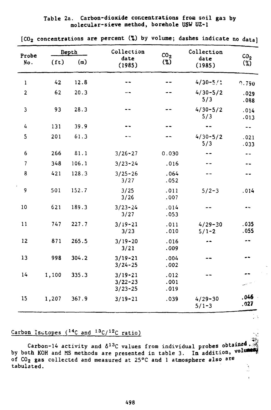**Table 2a. Carbon-dioxide concentrations from soil gas by molecular-sieve method, borehole USW UZ-1**

| Probe          |                   | Depth | Collection                                | CO <sub>2</sub>      | Collection               |                           |
|----------------|-------------------|-------|-------------------------------------------|----------------------|--------------------------|---------------------------|
| No.            | (f <sub>t</sub> ) | (m)   | date<br>(1985)                            | (%)                  | date<br>(1985)           | CO <sub>2</sub><br>$(\%)$ |
| $\mathbf{1}$   | 42                | 12.8  |                                           |                      | $4/30 - 5/1$             | 0.790                     |
| $\overline{2}$ | 62                | 20.3  |                                           |                      | $4/30 - 5/2$<br>5/3      | .029<br>.088              |
| 3              | 93                | 28.3  |                                           |                      | $4/30 - 5/2$<br>5/3      | .014<br>.013              |
| $\frac{1}{2}$  | 131               | 39.9  |                                           |                      | --                       | $-$                       |
| 5              | 201               | 61.3  |                                           |                      | $4/30 - 5/2$<br>5/3      | .021<br>.033              |
| 6              | 266               | 81.1  | $3/26 - 27$                               | 0.030                |                          | --                        |
| $\overline{7}$ | 348               | 106.1 | $3/23 - 24$                               | .016                 |                          |                           |
| 8              | 421               | 128.3 | $3/25 - 26$<br>3/27                       | .064<br>.052         |                          |                           |
| 9              | 501               | 152.7 | 3/25<br>3/26                              | .011<br>.007         | $5/2 - 3$                | .014                      |
| 10             | 621               | 189.3 | $3/23 - 24$<br>3/27                       | .014<br>.053         |                          | - 4                       |
| 11             | 747               | 227.7 | $3/19 - 21$<br>3/23                       | .011<br>.010         | $4/29 - 30$<br>$5/1 - 2$ | .035<br>.055              |
| 12             | 871               | 265.5 | $3/19 - 20$<br>3/21                       | .016<br>.009         |                          | --                        |
| 13             | 998               | 304.2 | $3/19 - 21$<br>$3/24 - 25$                | .004<br>.002         |                          |                           |
| 14             | 1,100             | 335.3 | $3/19 - 21$<br>$3/22 - 23$<br>$3/23 - 25$ | .012<br>.001<br>.019 |                          |                           |
| 15             | 1,207             | 367.9 | $3/19 - 21$                               | .039                 | $4/29 - 30$<br>$5/1 - 3$ | .046<br>.027              |

**[CO2 concentrations are percent (%) by volume; dashes indicate no data]**

# Carbon Isotopes  $($ <sup>14</sup>C and <sup>13</sup>C/<sup>12</sup>C ratio)

Carbon-14 activity and  $\delta^{13}$ C values from individual probes obtained. by both KOH and MS methods are presented in table 3. In addition, volumes of COg gas collected and measured at 25°C and 1 atmosphere also are tabulated. The contract of the contract of the contract of the contract of the contract of the contract of the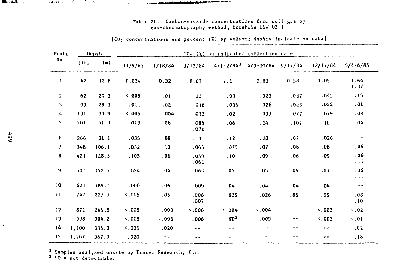| [CO <sub>2</sub> concentrations are percent (%) by volume; dashes indicate no data] |       |       |            |         |              |                                        |                                                 |      |          |               |
|-------------------------------------------------------------------------------------|-------|-------|------------|---------|--------------|----------------------------------------|-------------------------------------------------|------|----------|---------------|
| Probe<br>No.                                                                        |       | Depth |            |         |              | $CO2$ (%) on indicated collection date |                                                 |      |          |               |
|                                                                                     | (t)   | (m)   | 11/9/83    | 1/18/84 | 3/12/84      |                                        | $4/1 - 2/84$ <sup>1</sup> $4/9 - 10/84$ 9/17/84 |      | 12/17/84 | $5/4 - 6/85$  |
| ı                                                                                   | 42    | 12.8  | 0.024      | 0.32    | 0.67         | 1.1                                    | 0.83                                            | 0.58 | 1.05     | 1.64<br>1.37  |
| $\overline{2}$                                                                      | 62    | 20.3  | $\leq 005$ | .01     | .02          | .03                                    | .023                                            | .037 | .045     | .15           |
| 3                                                                                   | 93    | 28.3  | .011       | .02     | .016         | .035                                   | .026                                            | .023 | .022     | .01           |
| 4                                                                                   | 131   | 39.9  | 5.005      | .004    | .013         | .02                                    | .033                                            | .077 | .079     | .09           |
| 5.                                                                                  | 201   | 61.3  | .019       | .06     | .085<br>.076 | .06                                    | .24                                             | .107 | .10      | .04           |
| 6                                                                                   | 266   | 81.1  | .035       | 0.08    | .13          | .12                                    | .08                                             | .07  | .026     | $- -$         |
| $\mathbf{7}$                                                                        | 348   | 106.1 | .032       | .10     | .065         | .075                                   | .07                                             | .08  | .08      | .06           |
| 8                                                                                   | 421   | 128.3 | .105       | .06     | .059<br>.061 | .10                                    | .09                                             | .06  | .09      | .06<br>.11    |
| 9                                                                                   | 501   | 152.7 | .024       | .04     | .063         | .05                                    | .05                                             | .09  | .07      | .06<br>. 11   |
| 10                                                                                  | 621   | 189.3 | .006       | .06     | .009         | .04                                    | .04                                             | .04  | .04      | $\sim$ $\sim$ |
| $\mathbf{H}$                                                                        | 747   | 227.7 | 5.005      | .05     | .006<br>.007 | .025                                   | .026                                            | .05  | .05      | .08<br>.10    |
| 12                                                                                  | 871   | 265.5 | 5.005      | .003    | 5.006        | 5.004                                  | 5.004                                           | --   | 5.003    | $\leq 0.02$   |
| 13                                                                                  | 998   | 304.2 | < 0.05     | 5.003   | .006         | MD <sup>2</sup>                        | .009                                            | --   | 5.003    | $\leq 0.01$   |
| 14                                                                                  | 1,100 | 335.3 | 0.005      | .020.   | --           | $- -$                                  |                                                 | --   | $- -$    | .62           |
| 15                                                                                  | 1,207 | 367.9 | .020       | $ -$    | --           | $- -$                                  | --                                              | --   |          | .18           |
|                                                                                     |       |       |            |         |              |                                        |                                                 |      |          |               |

Tabte 2b. Carbon-dioxide concentrations from soil gas by gas-chromatography method, borehole USW UZ-1

Links and the company of the company of the company of

<sup>1</sup> Samples analyzed onsite by Tracer Research, Inc.

<sup>2</sup>  $HD = not detectable.$ 

**LEARNER**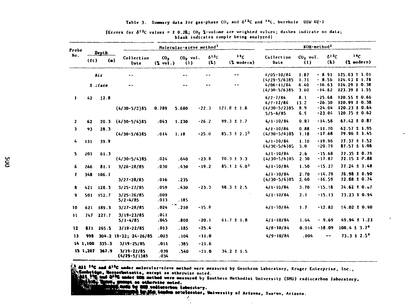# Table 3. Summary data for gas-phase  $CO_2$  and  $\delta^{13}C$  and  $^{14}C$ , borehole USW UZ-1

| Probe |                   |                    |                                     | Molecular-sieve method <sup>1</sup>   |                   |                  |                                       |                                                                    | KOH-method <sup>2</sup>   |                                              |                                                                                  |  |
|-------|-------------------|--------------------|-------------------------------------|---------------------------------------|-------------------|------------------|---------------------------------------|--------------------------------------------------------------------|---------------------------|----------------------------------------------|----------------------------------------------------------------------------------|--|
| No.   | (f <sub>t</sub> ) | Depth<br>$($ a $)$ | Collection<br>Date                  | co <sub>2</sub><br>$(2 \text{ vol.})$ | $CO2$ vol.<br>(1) | $6^{13}C$<br>(L) | 14 <sub>C</sub><br>$(\lambda$ modern) | Collection<br>Date                                                 | $CO2$ vol.<br>(1)         | 613c<br>$(k)$                                | 14c<br>$(2 \text{ modern})$                                                      |  |
|       |                   | Air                | $-$                                 |                                       | --                | --               | --                                    | $4/05 - 10/84$<br>$(4/29 - 5/6)85$                                 | 1.87<br>1.71              | $-8.91$<br>$-8.56$                           | $125.63 \pm 1.01$<br>$124.43 \pm 1.78$                                           |  |
|       |                   | S.cface            | $- -$                               |                                       | $- -$             | --               |                                       | $4/06 - 11/84$<br>$(4/30 - 5/6)85$                                 | 6.40<br>3.60              | $-16.63$<br>$-14.62$                         | $124.29 \pm 0.38$<br>$123.39 \pm 1.55$                                           |  |
| ı.    | 42                | 12.8               | $(4/30-5/2)85$                      | 0.789                                 | 5.680             | $-22.3$          | $121.8 \pm 1.8$                       | $4/2 - 7/84$<br>$4/7 - 12/84$<br>$(4/30 - 5/2)$ B5<br>$5/5 - 6/85$ | 8.1<br>13.2<br>8.9<br>6.9 | $-25.68$<br>$-26.30$<br>$-24.04$<br>$-23.04$ | $120.55 \pm 0.66$<br>$120.99 \pm 0.38$<br>$120.23 \pm 0.64$<br>$120.75 \pm 0.62$ |  |
| 2     | 62                | 20.3               | $(4/30 - 5/4)85$                    | .043                                  | 1.230             | $-26.2$          | $99.3 \pm 1.7$                        | $4/1 - 10/84$                                                      | 0.87                      | $-14.58$                                     | $67.42 \pm 0.87$                                                                 |  |
| з     | 93                | 28.3               | $(4/30 - 5/6)85$                    | .014                                  | 1.18              | $-25.0$          | $85.3 \pm 2.3^3$                      | $4/1 - 10/84$<br>$(4/30 - 5/6)85$                                  | 0.88<br>1.18              | $-11.70$<br>$-17.68$                         | $62.57 \pm 1.95$<br>79.96 ± 1.45                                                 |  |
| 4     | 131               | 39.9               |                                     |                                       |                   |                  |                                       | $4/1 - 10/84$<br>$(4/3C - 5/6)85$                                  | 1.10<br>3.0               | $-19.96$<br>$-20.79$                         | $77.37 \pm 1.52$<br>$87.57 \pm 1.08$                                             |  |
| 5.    | 201               | 61.3               | $(4/30 - 5/4)$ 85                   | .024                                  | .640              | $-23.8$          | $70.3 \pm 3.3$                        | $4/1 - 10/84$<br>$(4/30 - 5/6)85$                                  | 2.6<br>2.30               | $-15.68$<br>$-17.87$                         | $77.35 \pm 0.79$<br>$72.15 \pm 0.88$                                             |  |
| 6     | 266               | 81.1               | $3/26 - 28/85$                      | .030                                  | .430              | $-19.2$          | $85.1 \pm 4.0$                        | $4/1 - 10/84$                                                      | 1.50                      | $-15.27$                                     | $77.24 \pm 1.48$                                                                 |  |
| 1     | 348               | 106.1              | $3/27 - 28/85$                      | .016                                  | .235              |                  |                                       | $4/1 - 10/84$<br>$(4/30-5/6)85$                                    | 2.70<br>2,60              | $-14.79$<br>$-16.59$                         | 76.98 ± 0.90<br>$72.88 \pm 0.74$                                                 |  |
| 8     | 421               | 128.3              | $3/25 - 27/85$                      | .059                                  | .430              | $-23.3$          | $88.3 \pm 2.5$                        | $4/1 - 10/84$                                                      | 3.70                      | $-15.18$                                     | $74.62 \pm 0.51$                                                                 |  |
| 9     | 501               | 152.7              | $3/25 - 26/85$<br>$5/2 - 4/85$      | .609<br>.013                          | .185              |                  |                                       | $4/1 - 10/84$                                                      | 2.1                       | $-15.13$                                     | $73.23 \pm 0.94$                                                                 |  |
| 10    | 621               | 189.3              | $3/27 - 28/85$                      | .024                                  | .210              | $-15.8$          |                                       | $4/1 - 10/84$                                                      | 1.7                       | $-12.82$                                     | $64.02 \pm 0.90$                                                                 |  |
| 11    | 747               | 227.7              | $3/19 - 23/85$<br>$5/1 - 4/85$      | .011<br>.045                          | .800              | $-20.1$          | $61.7 \pm 1.8$                        | $4/1 - 10/84$                                                      | 1.04                      | $-9.69$                                      | $49.94 \pm 1.23$                                                                 |  |
| 12    | 871               | 265.5              | $3/19 - 22/85$                      | .013                                  | .185              | $-25.4$          |                                       | $4/8 - 10/84$                                                      | 0.014                     | $-18.09$                                     | $100.4 \pm 3.74$                                                                 |  |
| 13    | 998               |                    | $304.2$ 19-22; 24-26/85             | .003                                  | .104              | $-11.0$          |                                       | $4/9 - 10/84$                                                      | .004                      | --                                           | $73.3 \pm 2.5^{\circ}$                                                           |  |
|       | 14 1,100          | 335.3              | $3/19 - 25/85$                      | .011                                  | .385              | $-21.6$          |                                       |                                                                    |                           |                                              |                                                                                  |  |
|       | 15 1,207          | 367.9              | $3/19 - 22/85$<br>$(6/29 - 5/1)$ 85 | .039<br>.034                          | .540              | $-21.0$          | $34.2 \pm 1.5$                        |                                                                    |                           |                                              |                                                                                  |  |

#### [Errors for  $\delta^{13}C$  values =  $\pm$  0.2k;  $CO_2$  %-volume are weighted values; dashes indicate no data; blank indicates sample being analyzed)

All <sup>14</sup>C and 6<sup>12</sup>C under molecular-sieve method were measured by Geochron Laboratory, Kruger Enterprise, Inc.,<br>Combridge, Massochutsetts, except as otherwise noted.<br>CANA, 198 and 6<sup>13</sup>C under NOM method were measured by

as otherwise noted.

lister in

**U. vollaractus labor**atory.<br>U. vo**llaractus labor**atory.<br><u>Kong tonom</u> eviclerator, University of Arizona, Tuscon, Arizona.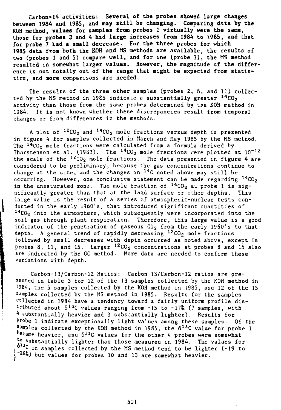**Carbon-14 activities: Several of the probes showed large changes between 1984 and 1985, and may still be changing. Comparing data by the KOH method, values for samples from probes 1 virtually were the same, those for probes 3 and 4 had large increases from 1984 to 1985, and that for probe 7 Lad a small decrease. For the three probes for which 1985 data from both the KOH and MS methods are available, the results of two (probes 1 and 5) compare well, and for one (probe 3), the MS method resulted in somewhat larger values. However, the magnitude of the difference is not totally out of the range that might be expected from statistics, and more** comparisons are **needed.**

The results of the three **other** samples (probes 2, 8, and 11) collected by the MS method in 1985 indicate a substantially greater  $^{14}$ CO<sub>2</sub> activity than those from the same probes determined by the KOH method in 1984. It is not known whether these discrepancies result from temporal changes or from differences in the methods.

A plot of  $^{12}$ CO<sub>2</sub> and  $^{14}$ CO<sub>2</sub> mole fractions versus depth is presente in figure 4 for samples collected in March and May 1985 by the MS method. The <sup>14</sup>CO<sub>2</sub> mole fractions were calculated from a formula derived by Thorstenson et al. (1983). The  $^{14}$ CO<sub>2</sub> mole fractions vere plotted at  $10^{-12}$ the scale of the  $^{12}$ CO<sub>2</sub> mole fractions. The data presented in figure 4 are cunsidered to be preliminary, because the gas concentrations continue to change at the site, and the changes in <sup>14</sup>C noted above may still be occurring. However, one conclusive statement can be made regarding <sup>14</sup>CO<sub>2</sub> in the unsaturated zone. The mole fraction of  $^{14}$ CO<sub>2</sub> at probe 1 is significantly greater than that at the land surface or other depths. This large value is the result of a series of atmospheric-nuclear tests conducted in the early 1960's, that introduced significant quantities of  $14C0<sub>2</sub>$  into the atmosphere, which subsequently were incorporated into the soil gas through plant respiration. Therefore, this large value is a good indicator of the penetration of gaseous  $CO<sub>2</sub>$  from the early 1960's to that depth. A general trend of rapidly decreasing  $12 \text{CO}_2$  mole fractions followed by small decreases with depth occurred as noted above, except in probes 8, 11, and 15. Larger  $^{12}CO_{2}$  concentrations at probes 8 and 15 also are indicated by the GC method. More data are needed to confirm these variations with depth.

Carbon-13/Carbon-12 Ratios: Carbon 13/Carbon-12 ratios are presented in table 3 for 12 of the 13 samples collected by the KOH method in 1984, the 5 samples collected by the KOH method in 1985, and 12 of the 15 samples collected by the MS method in 1985. Results for the samples collected in 1984 have a tendency toward a fairly uniform profile distributed about  $\delta^{13}$ C values ranging from -15 to -17% (7 samples, with <sup>4</sup> substantially heavier and 3 substantially lighter). Results for Probe 1 indicate exceptionally light values among these samples. Of the samples collected by the KOH method in 1985, the  $\delta^{13}$ C value for probe 1 became heavier, and  $\delta^{13}$ C values for the other 4 probes were somewhat to substantially lighter than those measured in 1984. The values for  $\delta^{13}$ C in samples collected by the MS method tend to be lighter (-19 to : "26S;) but values for probes 10 and 13 are somewhat heavier.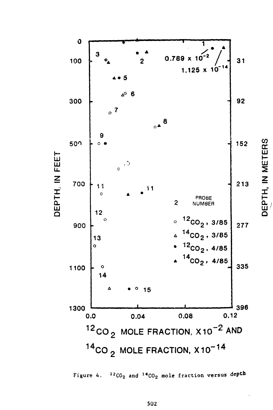

Figure 4.  $12CO_2$  and  $14CO_2$  mole fraction versus depth

502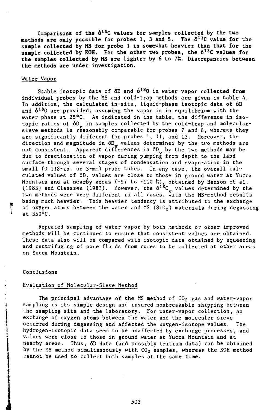**Comparisons of the fii3C values for samples collected by the two methods are only possible for probss 1, 3 and 5. The 6<sup>13</sup>C value for the sample collected by MS for probe 1 is somewhat heavier than that for the sample collected by KOH. For the other two probes, the 6<sup>13</sup>C values for the samples collected by MS are lighter by 6 to 7&. Discrepancies between the methods are under investigation.**

# Water Vapor

Stable isotopic data of 6D and 6<sup>18</sup>0 in water vapor collected **from** individual probes by the MS and cold-trap methods are given in table 4. In addition, the calculated in-situ, liquid-phase isotopic data of 6D and  $\delta^{18}$ O are provided, assuming the vapor is in equilibrium with the water phase at 25°C. As indicated in the table, the difference in isotopic ratios of  $\delta D$  in samples collected by the cold-trap and molecularsieve methods is reasonably comparable for probes 7 and 8, whereas they are significantly different for probes 1, 11, and 13. Moreover, the direction and magnitude in  $\delta D_{\mu}$  values determined by the two methods are not consistent. Apparent differences in 6D by the two methods may be due to fractionation of vapor during pumping from depth to the land surface through several stages of condensation and evaporation in the small  $(0.118 \text{-} \text{ln.} \text{ or } 3\text{-} \text{mm})$  probe tubes. In any case, the overall calculated values of 6D. values are close to those in ground water at Yucca Mountain and at nearby areas (-97 to -110 %), obtained by Benson et al. (1983) and Claassen (1983). However, the  $\delta^{18}$ O values determined by the two methods were very different in all cases, with the MS-method results being much heavier. This heavier tendency is attributed to the exchange of oxygen atoms between the water and MS  $(SiO<sub>2</sub>)$  materials during degassing at 350°C.

Repeated sampling of water vapor by both methods or other improved methods will be continued to ensure that consistent values are obtained. These data also will be compared with isotopic data obtained by squeezing and centrifuging of pore fluids from cores to be collected at other areas on Yucca Mountain.

#### Conclusions

# Evaluation of Molecular-Sieve Method

The principal advantage of the MS method of  $CO<sub>2</sub>$  gas and water-vapor sampling is its simple design and insured nonbreakable shipping between the sampling site and the laboratory. For water-vapor collection, an exchange of oxygen atoms between the water and the molecular sieve occurred during degassing and affected the oxygen-isotope values. The hydrogen-isotopic data seem to be unaffected by exchange processes, and values were close to those in ground water at Yucca Mountain and at nearby areas. Thus, 6D data (and possibly tritium data) can be obtained by the MS method simultaneously with  $CO<sub>2</sub>$  samples, whereas the KOH method cannot be used to collect both samples at the same time.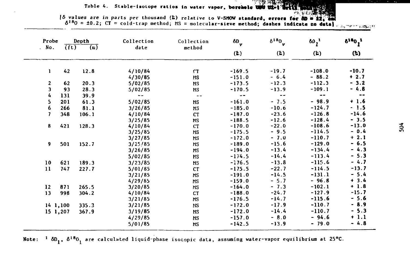# Table 4. Stable-isotope ratios in water vapor, borehole und their

[5 values are in parts per thousand (2) relative to V-SHOW standard, errors for  $\frac{\partial v}{\partial x} = 22$ .  $\frac{22}{300}$ <br>5<sup>18</sup>0 = ±0.2; CT = cold-trap method; HS = molecular-sieve method; dashes indicate no data].

| Probe<br>. No. |                   | Depth<br>$\overline{(\mathfrak{m})}$ | Collection<br>date | Collection | $\delta D_{\mathbf{v}}$ | $\delta^{18}0_{V}$ | $\delta \rho_{1}^{1}$ | $\delta^{18}0^{11}$ |  |
|----------------|-------------------|--------------------------------------|--------------------|------------|-------------------------|--------------------|-----------------------|---------------------|--|
|                | (f <sub>t</sub> ) |                                      |                    | method     | $(k)$                   | (k)                | (2)                   | (k)                 |  |
| 1              | 42                | 12.8                                 | 4/10/84            | <b>CT</b>  | $-169.5$                | $-19.7$            | $-108.0$              | $-10.7$             |  |
|                |                   |                                      | 4/30/85            | <b>NS</b>  | $-151.0$                | $-6.4$             | $-88.2$               | $+2.7$              |  |
| 2              | 62                | 20.3                                 | 5/02/85            | <b>MS</b>  | $-173.5$                | $-12.3$            | $-112.3$              | $-3.2$              |  |
| 3              | 93                | 28.3                                 | 5/02/85            | МS         | $-170.5$                | $-13.9$            | $-109.1$              | - 4.8               |  |
| 4              | 131               | 39.9                                 | $ -$               | $- -$      | $\sim$ $-$              | $\sim$ $\sim$      | $\rightarrow$         | $\sim$ $\sim$       |  |
| 5              | 201               | 61.3                                 | 5/02/85            | <b>MS</b>  | $-161.0$                | $-7.5$             | $-98.9$               | $+1.6$              |  |
| 6              | 266               | 81.1                                 | 3/26/85            | <b>MS</b>  | $-185.0$                | $-10.6$            | $-124.7$              | $-1.5$              |  |
| 7              | 348               | 106.1                                | 4/10/84            | <b>CT</b>  | $-187.0$                | $-23.6$            | $-126.8$              | $-14.6$             |  |
|                |                   |                                      | 3/25/85            | <b>HS</b>  | $-188.5$                | $-12.6$            | $-128.4$              | $-3.5$              |  |
| 8              | 421               | 128.3                                | 4/10/84            | <b>CT</b>  | $-170.0$                | $-22.0$            | $-108.6$              | $-13.0$             |  |
|                |                   |                                      | 3/25/85            | МS         | $-175.5$                | $-9.5$             | $-114.5$              | $-0.4$              |  |
|                |                   |                                      | 3/27/85            | <b>MS</b>  | $-172.0$                | $-7.0$             | $-110.7$              | $+2.1$              |  |
| 9              | 501               | 152.7                                | 3/25/85            | <b>MS</b>  | $-189.0$                | $-15.6$            | $-129.0$              | $-6.5$              |  |
|                |                   |                                      | 3/26/85            | <b>MS</b>  | $-194.0$                | $-13.4$            | $-134.4$              | $-4.3$              |  |
|                |                   |                                      | 5/02/85            | <b>MS</b>  | $-174.5$                | $-14.4$            | $-113.4$              | $-5.3$              |  |
| 10             | 621               | 189.3                                | 3/23/85            | <b>MS</b>  | $-176.5$                | $-13.8$            | $-115.6$              | $-4.7$              |  |
| 11             | 747               | 227.7                                | 5/01/85            | cr         | $-175.5$                | $-22.7$            | $-114.5$              | $-13.7$             |  |
|                |                   |                                      | 3/21/85            | <b>MS</b>  | $-191.0$                | $-14.5$            | $-131.1$              | $-5.4$              |  |
|                |                   |                                      | 4/29/85            | <b>MS</b>  | $-159.0$                | $-5.7$             | $-96.8$               | $+3.4$              |  |
| 12             | 871               | 265.5                                | 3/20/85            | <b>MS</b>  | $-164.0$                | $-7.3$             | $-102.1$              | $+1.8$              |  |
| 13             | 998               | 304.2                                | 4/10/84            | <b>CT</b>  | $-188.0$                | $-24.7$            | $-127.9$              | $-15.7$             |  |
|                |                   |                                      | 3/21/85            | <b>MS</b>  | $-176.5$                | $-14.7$            | $-115.6$              | $-5.6$              |  |
|                | 141,100           | 335.3                                | 3/21/85            | NS         | $-172.0$                | $-17.9$            | $-110.7$              | $-8.9$              |  |
|                | 15 1,207          | 367.9                                | 3/19/85            | <b>MS</b>  | $-172.0$                | $-14.4$            | $-110.7$              | $-5.3$              |  |
|                |                   |                                      | 4/29/85            | <b>MS</b>  | $-157.0$                | $-8.0$             | $-94.6$               | $+1.1$              |  |
|                |                   |                                      | 5/01/85            | <b>MS</b>  | $-142.5$                | $-13.9$            | $-79.0$               | $-48$               |  |

Note:  $1 \delta D_1$ ,  $\delta^{18}O_1$  are calculated liquid-phase isotopic data, assuming water-vapor equilibrium at 25°C.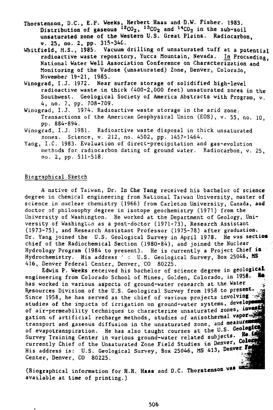- Thorstenson, D.C., E.P. Weeks, Herbert Haas and D.W. Fisher. 1983. Distribution of gaseous  $^{12}CO_2$ ,  $^{13}CO_2$  and  $^{14}CO_2$  in the sub-soi unsaturated zone of the Western U.S. Great Plains. Radiocarbon, v. 25, no. 2, pp. 315-346.
- Whitfield, M.S., 1985. Vacuum drilling of unsaturated tuff at a potential radioactive waste repository, Yucca Mountain, Nevada. In Proceeding, National Water Well Association Conference on Characterization and Monitoring of the Vadose (unsaturated) Zone, Denver, Colorado, November 19-21, 1985.
- Winograd, I.J. 1972. Near surface storage of solidified high-level radioactive waste in thick (400-2,000 feet) unsaturated 2ores in the Southwest. Geological Society of America Abstracts with Program, v. 4, no. 7, pp. 708-709.
- Winograd, I.J. 1974. Radioactive waste storage in the arid zone. Transactions of the American Geophysical Union (EOS), v. 55, no. 10, pp. 884-894.
- Winograd, I.J. 1981. Radioactive waste disposal in thick unsaturated zones. Science, v. 212, no. 4502, pp. 1457-1464.
- Yang, I.C. 1983- Evaluation of direct-precipitation and gas-evolution methods for radiocarbon dating of ground water. Radiocarbon, v. 25, no. 2, pp. 511-518.

# Biographical Sketch

A native of Taiwan, Dr. In Che Yang received his bachelor of science degree in chemical engineering from National Taiwan University, master of science in nuclear chemistry (1966) from Carleton University, Canada, and doctor of philosophy degree in isotope geochemistry (1971) from the University of Washington. He worked at the Department of Geology, University of Washington as a post-doctor (1971-73), Research Assistant (1973-75), and Research Assistant Professor (1975-78) after graduation. Dr. Yang joined the U.S. Geological Survey in April 1978. He was section chief of the Radiochemical Section (1980-84), and joined the Nuclear Hydrology Program (1984 to present). He is currently a Project Chief ia Hydrochemistry. His address : U.S. Geological Survey, Box 25046, MS 416, Denver Federal Center, Denver, CO 80225.

Edwin P. Weeks received his bachelor of science degree in geological engineering from Colorado School of Mines, Golden, Colorado, in 1958. has worked in various aspects of ground-water research at the Water ^ Resources Division of the U.S. Geological Survey from 1958 to present. Since 1958, he has served as the chief of various projects involving studies of the impacts of irrigation on ground-water systems, developed of air-permeability techniques to characterize unsaturated zones, investigation gation of artificial recharge methods, studies of anisothermal vapor transport and gaseous diffusion in the unsaturated zone, and measurement of evapotranspiration. He has also taught courses at the U.S. Geological He 19 Survey Training Center in various ground-water related subjects. currently Chief of the Unsaturated Zone Field Studies in Denver, Color His address is: U.S. Geological Survey, Box 25046, MS 413, Denver Center, Denver, CO 80225.

(Biographical information for H.H. Haas and D.C. Thorstenson was un available at time of printing.)